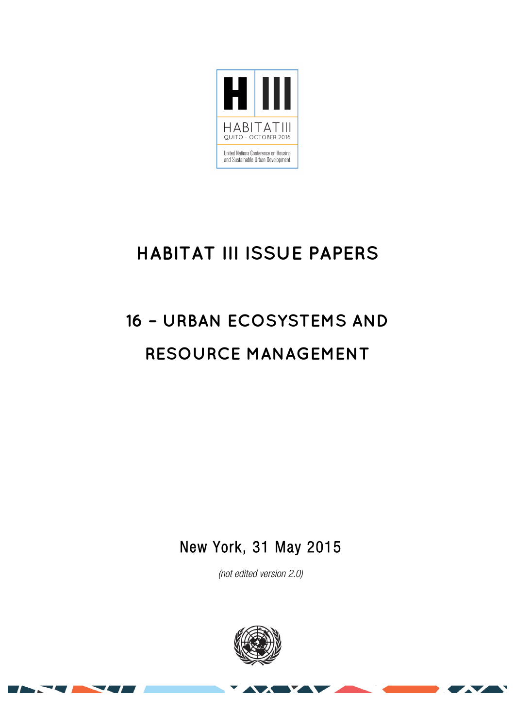

## **HABITAT III ISSUE PAPERS**

# **16 – URBAN ECOSYSTEMS AND RESOURCE MANAGEMENT**

New York, 31 May 2015

*(not edited version* 2.0*)* 



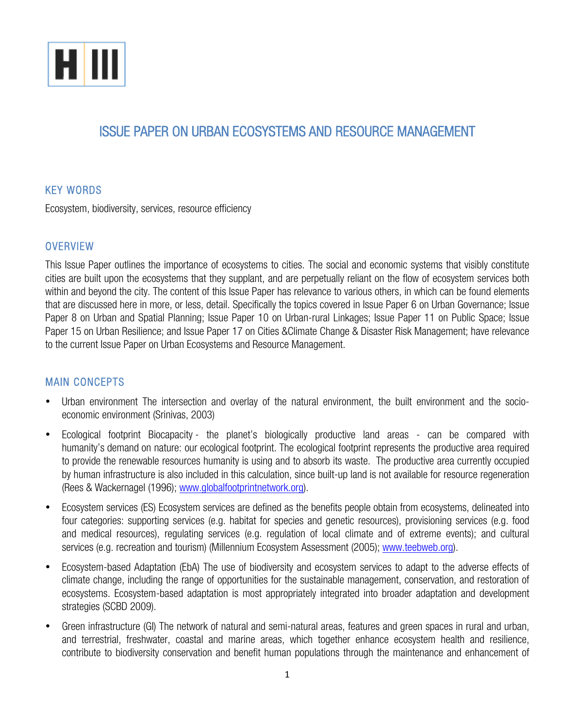

### ISSUE PAPER ON URBAN ECOSYSTEMS AND RESOURCE MANAGEMENT

#### KEY WORDS

Ecosystem, biodiversity, services, resource efficiency

#### **OVERVIEW**

This Issue Paper outlines the importance of ecosystems to cities. The social and economic systems that visibly constitute cities are built upon the ecosystems that they supplant, and are perpetually reliant on the flow of ecosystem services both within and beyond the city. The content of this Issue Paper has relevance to various others, in which can be found elements that are discussed here in more, or less, detail. Specifically the topics covered in Issue Paper 6 on Urban Governance; Issue Paper 8 on Urban and Spatial Planning; Issue Paper 10 on Urban-rural Linkages; Issue Paper 11 on Public Space; Issue Paper 15 on Urban Resilience; and Issue Paper 17 on Cities &Climate Change & Disaster Risk Management; have relevance to the current Issue Paper on Urban Ecosystems and Resource Management.

#### MAIN CONCEPTS

- Urban environment The intersection and overlay of the natural environment, the built environment and the socioeconomic environment (Srinivas, 2003)
- Ecological footprint Biocapacity the planet's biologically productive land areas can be compared with humanity's demand on nature: our ecological footprint. The ecological footprint represents the productive area required to provide the renewable resources humanity is using and to absorb its waste. The productive area currently occupied by human infrastructure is also included in this calculation, since built-up land is not available for resource regeneration (Rees & Wackernagel (1996); www.globalfootprintnetwork.org).
- Ecosystem services (ES) Ecosystem services are defined as the benefits people obtain from ecosystems, delineated into four categories: supporting services (e.g. habitat for species and genetic resources), provisioning services (e.g. food and medical resources), regulating services (e.g. regulation of local climate and of extreme events); and cultural services (e.g. recreation and tourism) (Millennium Ecosystem Assessment (2005); www.teebweb.org).
- Ecosystem-based Adaptation (EbA) The use of biodiversity and ecosystem services to adapt to the adverse effects of climate change, including the range of opportunities for the sustainable management, conservation, and restoration of ecosystems. Ecosystem-based adaptation is most appropriately integrated into broader adaptation and development strategies (SCBD 2009).
- Green infrastructure (GI) The network of natural and semi-natural areas, features and green spaces in rural and urban, and terrestrial, freshwater, coastal and marine areas, which together enhance ecosystem health and resilience, contribute to biodiversity conservation and benefit human populations through the maintenance and enhancement of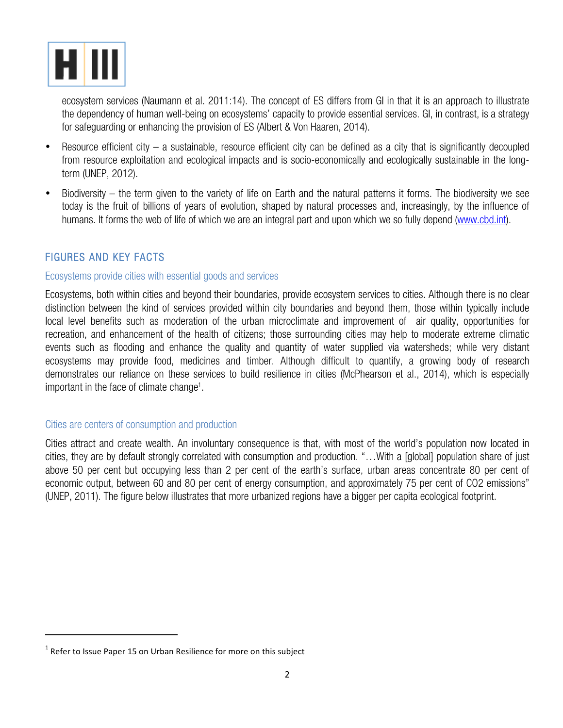

ecosystem services (Naumann et al. 2011:14). The concept of ES differs from GI in that it is an approach to illustrate the dependency of human well-being on ecosystems' capacity to provide essential services. GI, in contrast, is a strategy for safeguarding or enhancing the provision of ES (Albert & Von Haaren, 2014).

- Resource efficient city a sustainable, resource efficient city can be defined as a city that is significantly decoupled from resource exploitation and ecological impacts and is socio-economically and ecologically sustainable in the longterm (UNEP, 2012).
- Biodiversity the term given to the variety of life on Earth and the natural patterns it forms. The biodiversity we see today is the fruit of billions of years of evolution, shaped by natural processes and, increasingly, by the influence of humans. It forms the web of life of which we are an integral part and upon which we so fully depend (www.cbd.int).

#### FIGURES AND KEY FACTS

#### Ecosystems provide cities with essential goods and services

Ecosystems, both within cities and beyond their boundaries, provide ecosystem services to cities. Although there is no clear distinction between the kind of services provided within city boundaries and beyond them, those within typically include local level benefits such as moderation of the urban microclimate and improvement of air quality, opportunities for recreation, and enhancement of the health of citizens; those surrounding cities may help to moderate extreme climatic events such as flooding and enhance the quality and quantity of water supplied via watersheds; while very distant ecosystems may provide food, medicines and timber. Although difficult to quantify, a growing body of research demonstrates our reliance on these services to build resilience in cities (McPhearson et al., 2014), which is especially important in the face of climate change<sup>1</sup>.

#### Cities are centers of consumption and production

Cities attract and create wealth. An involuntary consequence is that, with most of the world's population now located in cities, they are by default strongly correlated with consumption and production. "…With a [global] population share of just above 50 per cent but occupying less than 2 per cent of the earth's surface, urban areas concentrate 80 per cent of economic output, between 60 and 80 per cent of energy consumption, and approximately 75 per cent of CO2 emissions" (UNEP, 2011). The figure below illustrates that more urbanized regions have a bigger per capita ecological footprint.

 

 $1$  Refer to Issue Paper 15 on Urban Resilience for more on this subject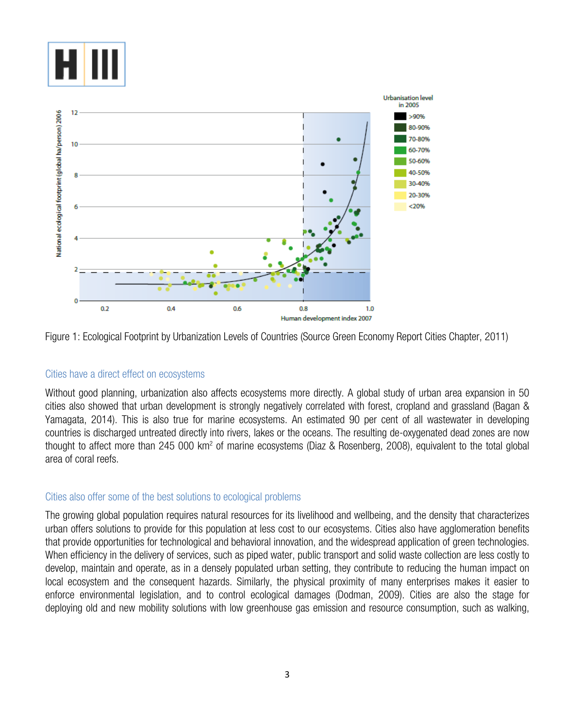



Figure 1: Ecological Footprint by Urbanization Levels of Countries (Source Green Economy Report Cities Chapter, 2011)

#### Cities have a direct effect on ecosystems

Without good planning, urbanization also affects ecosystems more directly. A global study of urban area expansion in 50 cities also showed that urban development is strongly negatively correlated with forest, cropland and grassland (Bagan & Yamagata, 2014). This is also true for marine ecosystems. An estimated 90 per cent of all wastewater in developing countries is discharged untreated directly into rivers, lakes or the oceans. The resulting de-oxygenated dead zones are now thought to affect more than 245 000 km2 of marine ecosystems (Diaz & Rosenberg, 2008), equivalent to the total global area of coral reefs.

#### Cities also offer some of the best solutions to ecological problems

The growing global population requires natural resources for its livelihood and wellbeing, and the density that characterizes urban offers solutions to provide for this population at less cost to our ecosystems. Cities also have agglomeration benefits that provide opportunities for technological and behavioral innovation, and the widespread application of green technologies. When efficiency in the delivery of services, such as piped water, public transport and solid waste collection are less costly to develop, maintain and operate, as in a densely populated urban setting, they contribute to reducing the human impact on local ecosystem and the consequent hazards. Similarly, the physical proximity of many enterprises makes it easier to enforce environmental legislation, and to control ecological damages (Dodman, 2009). Cities are also the stage for deploying old and new mobility solutions with low greenhouse gas emission and resource consumption, such as walking,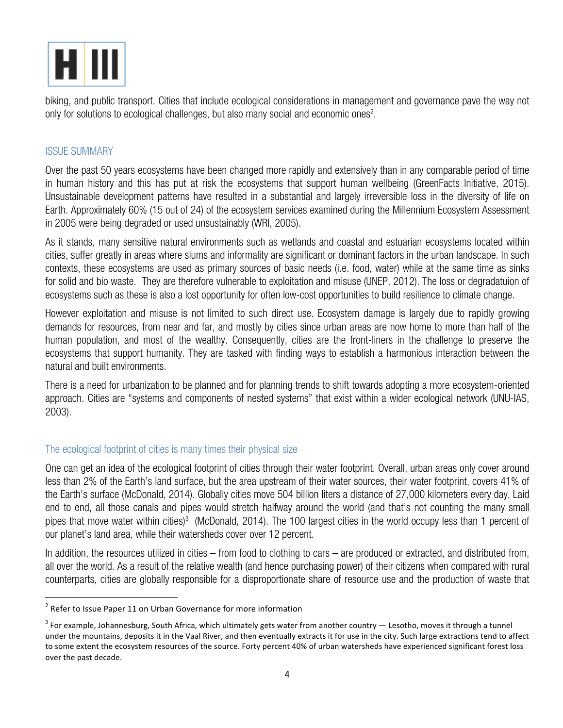

biking, and public transport. Cities that include ecological considerations in management and governance pave the way not only for solutions to ecological challenges, but also many social and economic ones<sup>2</sup>.

#### ISSUE SUMMARY

Over the past 50 years ecosystems have been changed more rapidly and extensively than in any comparable period of time in human history and this has put at risk the ecosystems that support human wellbeing (GreenFacts Initiative, 2015). Unsustainable development patterns have resulted in a substantial and largely irreversible loss in the diversity of life on Earth. Approximately 60% (15 out of 24) of the ecosystem services examined during the Millennium Ecosystem Assessment in 2005 were being degraded or used unsustainably (WRI, 2005).

As it stands, many sensitive natural environments such as wetlands and coastal and estuarian ecosystems located within cities, suffer greatly in areas where slums and informality are significant or dominant factors in the urban landscape. In such contexts, these ecosystems are used as primary sources of basic needs (i.e. food, water) while at the same time as sinks for solid and bio waste. They are therefore vulnerable to exploitation and misuse (UNEP, 2012). The loss or degradatuion of ecosystems such as these is also a lost opportunity for often low-cost opportunities to build resilience to climate change.

However exploitation and misuse is not limited to such direct use. Ecosystem damage is largely due to rapidly growing demands for resources, from near and far, and mostly by cities since urban areas are now home to more than half of the human population, and most of the wealthy. Consequently, cities are the front-liners in the challenge to preserve the ecosystems that support humanity. They are tasked with finding ways to establish a harmonious interaction between the natural and built environments.

There is a need for urbanization to be planned and for planning trends to shift towards adopting a more ecosystem-oriented approach. Cities are "systems and components of nested systems" that exist within a wider ecological network (UNU-IAS, 2003).

#### The ecological footprint of cities is many times their physical size

One can get an idea of the ecological footprint of cities through their water footprint. Overall, urban areas only cover around less than 2% of the Earth's land surface, but the area upstream of their water sources, their water footprint, covers 41% of the Earth's surface (McDonald, 2014). Globally cities move 504 billion liters a distance of 27,000 kilometers every day. Laid end to end, all those canals and pipes would stretch halfway around the world (and that's not counting the many small pipes that move water within cities)<sup>3</sup> (McDonald, 2014). The 100 largest cities in the world occupy less than 1 percent of our planet's land area, while their watersheds cover over 12 percent.

In addition, the resources utilized in cities – from food to clothing to cars – are produced or extracted, and distributed from, all over the world. As a result of the relative wealth (and hence purchasing power) of their citizens when compared with rural counterparts, cities are globally responsible for a disproportionate share of resource use and the production of waste that

 $2$  Refer to Issue Paper 11 on Urban Governance for more information

 $3$  For example, Johannesburg, South Africa, which ultimately gets water from another country  $-$  Lesotho, moves it through a tunnel under the mountains, deposits it in the Vaal River, and then eventually extracts it for use in the city. Such large extractions tend to affect to some extent the ecosystem resources of the source. Forty percent 40% of urban watersheds have experienced significant forest loss over the past decade.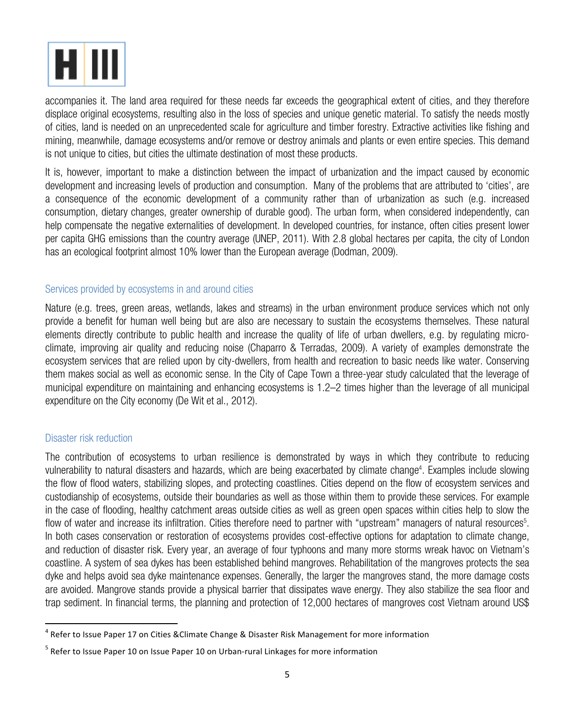

accompanies it. The land area required for these needs far exceeds the geographical extent of cities, and they therefore displace original ecosystems, resulting also in the loss of species and unique genetic material. To satisfy the needs mostly of cities, land is needed on an unprecedented scale for agriculture and timber forestry. Extractive activities like fishing and mining, meanwhile, damage ecosystems and/or remove or destroy animals and plants or even entire species. This demand is not unique to cities, but cities the ultimate destination of most these products.

It is, however, important to make a distinction between the impact of urbanization and the impact caused by economic development and increasing levels of production and consumption. Many of the problems that are attributed to 'cities', are a consequence of the economic development of a community rather than of urbanization as such (e.g. increased consumption, dietary changes, greater ownership of durable good). The urban form, when considered independently, can help compensate the negative externalities of development. In developed countries, for instance, often cities present lower per capita GHG emissions than the country average (UNEP, 2011). With 2.8 global hectares per capita, the city of London has an ecological footprint almost 10% lower than the European average (Dodman, 2009).

#### Services provided by ecosystems in and around cities

Nature (e.g. trees, green areas, wetlands, lakes and streams) in the urban environment produce services which not only provide a benefit for human well being but are also are necessary to sustain the ecosystems themselves. These natural elements directly contribute to public health and increase the quality of life of urban dwellers, e.g. by regulating microclimate, improving air quality and reducing noise (Chaparro & Terradas, 2009). A variety of examples demonstrate the ecosystem services that are relied upon by city-dwellers, from health and recreation to basic needs like water. Conserving them makes social as well as economic sense. In the City of Cape Town a three-year study calculated that the leverage of municipal expenditure on maintaining and enhancing ecosystems is 1.2–2 times higher than the leverage of all municipal expenditure on the City economy (De Wit et al., 2012).

#### Disaster risk reduction

The contribution of ecosystems to urban resilience is demonstrated by ways in which they contribute to reducing vulnerability to natural disasters and hazards, which are being exacerbated by climate change<sup>4</sup>. Examples include slowing the flow of flood waters, stabilizing slopes, and protecting coastlines. Cities depend on the flow of ecosystem services and custodianship of ecosystems, outside their boundaries as well as those within them to provide these services. For example in the case of flooding, healthy catchment areas outside cities as well as green open spaces within cities help to slow the flow of water and increase its infiltration. Cities therefore need to partner with "upstream" managers of natural resources<sup>5</sup>. In both cases conservation or restoration of ecosystems provides cost-effective options for adaptation to climate change, and reduction of disaster risk. Every year, an average of four typhoons and many more storms wreak havoc on Vietnam's coastline. A system of sea dykes has been established behind mangroves. Rehabilitation of the mangroves protects the sea dyke and helps avoid sea dyke maintenance expenses. Generally, the larger the mangroves stand, the more damage costs are avoided. Mangrove stands provide a physical barrier that dissipates wave energy. They also stabilize the sea floor and trap sediment. In financial terms, the planning and protection of 12,000 hectares of mangroves cost Vietnam around US\$

 $^4$  Refer to Issue Paper 17 on Cities & Climate Change & Disaster Risk Management for more information

 $5$  Refer to Issue Paper 10 on Issue Paper 10 on Urban-rural Linkages for more information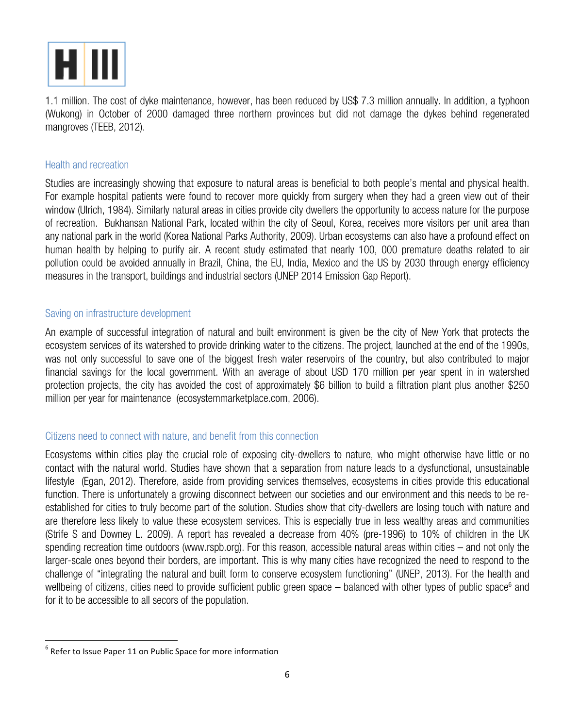

1.1 million. The cost of dyke maintenance, however, has been reduced by US\$ 7.3 million annually. In addition, a typhoon (Wukong) in October of 2000 damaged three northern provinces but did not damage the dykes behind regenerated mangroves (TEEB, 2012).

#### Health and recreation

Studies are increasingly showing that exposure to natural areas is beneficial to both people's mental and physical health. For example hospital patients were found to recover more quickly from surgery when they had a green view out of their window (Ulrich, 1984). Similarly natural areas in cities provide city dwellers the opportunity to access nature for the purpose of recreation. Bukhansan National Park, located within the city of Seoul, Korea, receives more visitors per unit area than any national park in the world (Korea National Parks Authority, 2009). Urban ecosystems can also have a profound effect on human health by helping to purify air. A recent study estimated that nearly 100, 000 premature deaths related to air pollution could be avoided annually in Brazil, China, the EU, India, Mexico and the US by 2030 through energy efficiency measures in the transport, buildings and industrial sectors (UNEP 2014 Emission Gap Report).

#### Saving on infrastructure development

An example of successful integration of natural and built environment is given be the city of New York that protects the ecosystem services of its watershed to provide drinking water to the citizens. The project, launched at the end of the 1990s, was not only successful to save one of the biggest fresh water reservoirs of the country, but also contributed to major financial savings for the local government. With an average of about USD 170 million per year spent in in watershed protection projects, the city has avoided the cost of approximately \$6 billion to build a filtration plant plus another \$250 million per year for maintenance (ecosystemmarketplace.com, 2006).

#### Citizens need to connect with nature, and benefit from this connection

Ecosystems within cities play the crucial role of exposing city-dwellers to nature, who might otherwise have little or no contact with the natural world. Studies have shown that a separation from nature leads to a dysfunctional, unsustainable lifestyle (Egan, 2012). Therefore, aside from providing services themselves, ecosystems in cities provide this educational function. There is unfortunately a growing disconnect between our societies and our environment and this needs to be reestablished for cities to truly become part of the solution. Studies show that city-dwellers are losing touch with nature and are therefore less likely to value these ecosystem services. This is especially true in less wealthy areas and communities (Strife S and Downey L. 2009). A report has revealed a decrease from 40% (pre-1996) to 10% of children in the UK spending recreation time outdoors (www.rspb.org). For this reason, accessible natural areas within cities – and not only the larger-scale ones beyond their borders, are important. This is why many cities have recognized the need to respond to the challenge of "integrating the natural and built form to conserve ecosystem functioning" (UNEP, 2013). For the health and wellbeing of citizens, cities need to provide sufficient public green space  $-$  balanced with other types of public space<sup>6</sup> and for it to be accessible to all secors of the population.

 $6$  Refer to Issue Paper 11 on Public Space for more information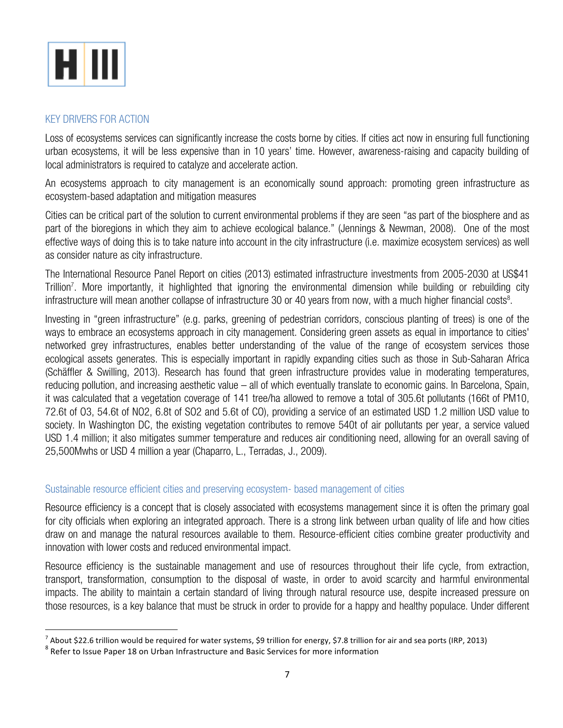

#### KEY DRIVERS FOR ACTION

Loss of ecosystems services can significantly increase the costs borne by cities. If cities act now in ensuring full functioning urban ecosystems, it will be less expensive than in 10 years' time. However, awareness-raising and capacity building of local administrators is required to catalyze and accelerate action.

An ecosystems approach to city management is an economically sound approach: promoting green infrastructure as ecosystem-based adaptation and mitigation measures

Cities can be critical part of the solution to current environmental problems if they are seen "as part of the biosphere and as part of the bioregions in which they aim to achieve ecological balance." (Jennings & Newman, 2008). One of the most effective ways of doing this is to take nature into account in the city infrastructure (i.e. maximize ecosystem services) as well as consider nature as city infrastructure.

The International Resource Panel Report on cities (2013) estimated infrastructure investments from 2005-2030 at US\$41 Trillion7 . More importantly, it highlighted that ignoring the environmental dimension while building or rebuilding city infrastructure will mean another collapse of infrastructure 30 or 40 years from now, with a much higher financial costs<sup>8</sup>.

Investing in "green infrastructure" (e.g. parks, greening of pedestrian corridors, conscious planting of trees) is one of the ways to embrace an ecosystems approach in city management. Considering green assets as equal in importance to cities' networked grey infrastructures, enables better understanding of the value of the range of ecosystem services those ecological assets generates. This is especially important in rapidly expanding cities such as those in Sub-Saharan Africa (Schäffler & Swilling, 2013). Research has found that green infrastructure provides value in moderating temperatures, reducing pollution, and increasing aesthetic value – all of which eventually translate to economic gains. In Barcelona, Spain, it was calculated that a vegetation coverage of 141 tree/ha allowed to remove a total of 305.6t pollutants (166t of PM10, 72.6t of O3, 54.6t of NO2, 6.8t of SO2 and 5.6t of CO), providing a service of an estimated USD 1.2 million USD value to society. In Washington DC, the existing vegetation contributes to remove 540t of air pollutants per year, a service valued USD 1.4 million; it also mitigates summer temperature and reduces air conditioning need, allowing for an overall saving of 25,500Mwhs or USD 4 million a year (Chaparro, L., Terradas, J., 2009).

#### Sustainable resource efficient cities and preserving ecosystem- based management of cities

Resource efficiency is a concept that is closely associated with ecosystems management since it is often the primary goal for city officials when exploring an integrated approach. There is a strong link between urban quality of life and how cities draw on and manage the natural resources available to them. Resource-efficient cities combine greater productivity and innovation with lower costs and reduced environmental impact.

Resource efficiency is the sustainable management and use of resources throughout their life cycle, from extraction, transport, transformation, consumption to the disposal of waste, in order to avoid scarcity and harmful environmental impacts. The ability to maintain a certain standard of living through natural resource use, despite increased pressure on those resources, is a key balance that must be struck in order to provide for a happy and healthy populace. Under different

 

<sup>&</sup>lt;sup>7</sup> About \$22.6 trillion would be required for water systems, \$9 trillion for energy, \$7.8 trillion for air and sea ports (IRP, 2013)  $8$  Refer to Issue Paper 18 on Urban Infrastructure and Basic Services for more informa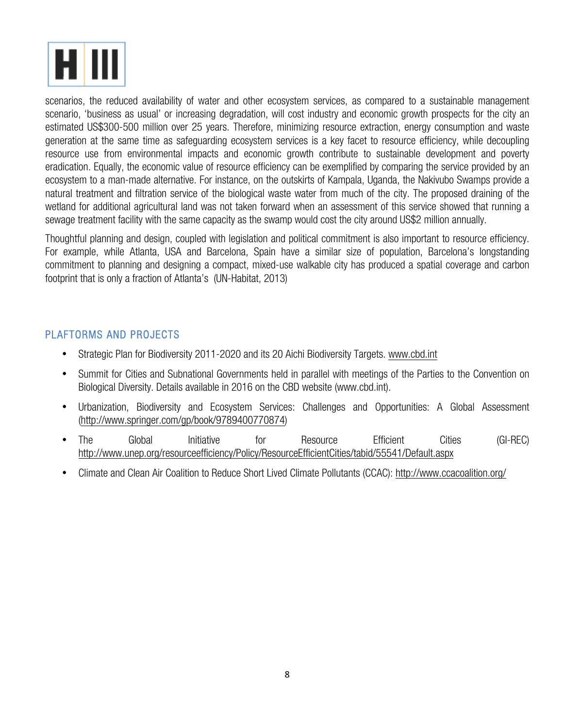

scenarios, the reduced availability of water and other ecosystem services, as compared to a sustainable management scenario, 'business as usual' or increasing degradation, will cost industry and economic growth prospects for the city an estimated US\$300-500 million over 25 years. Therefore, minimizing resource extraction, energy consumption and waste generation at the same time as safeguarding ecosystem services is a key facet to resource efficiency, while decoupling resource use from environmental impacts and economic growth contribute to sustainable development and poverty eradication. Equally, the economic value of resource efficiency can be exemplified by comparing the service provided by an ecosystem to a man-made alternative. For instance, on the outskirts of Kampala, Uganda, the Nakivubo Swamps provide a natural treatment and filtration service of the biological waste water from much of the city. The proposed draining of the wetland for additional agricultural land was not taken forward when an assessment of this service showed that running a sewage treatment facility with the same capacity as the swamp would cost the city around US\$2 million annually.

Thoughtful planning and design, coupled with legislation and political commitment is also important to resource efficiency. For example, while Atlanta, USA and Barcelona, Spain have a similar size of population, Barcelona's longstanding commitment to planning and designing a compact, mixed-use walkable city has produced a spatial coverage and carbon footprint that is only a fraction of Atlanta's (UN-Habitat, 2013)

#### PLAFTORMS AND PROJECTS

- Strategic Plan for Biodiversity 2011-2020 and its 20 Aichi Biodiversity Targets. www.cbd.int
- Summit for Cities and Subnational Governments held in parallel with meetings of the Parties to the Convention on Biological Diversity. Details available in 2016 on the CBD website (www.cbd.int).
- Urbanization, Biodiversity and Ecosystem Services: Challenges and Opportunities: A Global Assessment (http://www.springer.com/gp/book/9789400770874)
- The Global Initiative for Resource Efficient Cities (GI-REC) http://www.unep.org/resourceefficiency/Policy/ResourceEfficientCities/tabid/55541/Default.aspx
- Climate and Clean Air Coalition to Reduce Short Lived Climate Pollutants (CCAC): http://www.ccacoalition.org/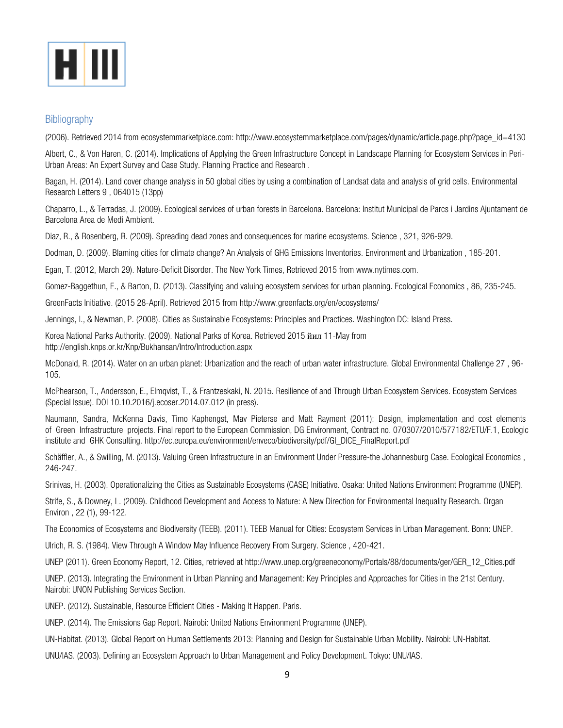

#### **Bibliography**

(2006). Retrieved 2014 from ecosystemmarketplace.com: http://www.ecosystemmarketplace.com/pages/dynamic/article.page.php?page\_id=4130

Albert, C., & Von Haren, C. (2014). Implications of Applying the Green Infrastructure Concept in Landscape Planning for Ecosystem Services in Peri-Urban Areas: An Expert Survey and Case Study. Planning Practice and Research .

Bagan, H. (2014). Land cover change analysis in 50 global cities by using a combination of Landsat data and analysis of grid cells. Environmental Research Letters 9 , 064015 (13pp)

Chaparro, L., & Terradas, J. (2009). Ecological services of urban forests in Barcelona. Barcelona: Institut Municipal de Parcs i Jardins Ajuntament de Barcelona Area de Medi Ambient.

Diaz, R., & Rosenberg, R. (2009). Spreading dead zones and consequences for marine ecosystems. Science , 321, 926-929.

Dodman, D. (2009). Blaming cities for climate change? An Analysis of GHG Emissions Inventories. Environment and Urbanization , 185-201.

Egan, T. (2012, March 29). Nature-Deficit Disorder. The New York Times, Retrieved 2015 from www.nytimes.com.

Gomez-Baggethun, E., & Barton, D. (2013). Classifying and valuing ecosystem services for urban planning. Ecological Economics , 86, 235-245.

GreenFacts Initiative. (2015 28-April). Retrieved 2015 from http://www.greenfacts.org/en/ecosystems/

Jennings, I., & Newman, P. (2008). Cities as Sustainable Ecosystems: Principles and Practices. Washington DC: Island Press.

Korea National Parks Authority. (2009). National Parks of Korea. Retrieved 2015 йил 11-May from http://english.knps.or.kr/Knp/Bukhansan/Intro/Introduction.aspx

McDonald, R. (2014). Water on an urban planet: Urbanization and the reach of urban water infrastructure. Global Environmental Challenge 27 , 96- 105.

McPhearson, T., Andersson, E., Elmqvist, T., & Frantzeskaki, N. 2015. Resilience of and Through Urban Ecosystem Services. Ecosystem Services (Special Issue). DOI 10.10.2016/j.ecoser.2014.07.012 (in press).

Naumann, Sandra, McKenna Davis, Timo Kaphengst, Mav Pieterse and Matt Rayment (2011): Design, implementation and cost elements of Green Infrastructure projects. Final report to the European Commission, DG Environment, Contract no. 070307/2010/577182/ETU/F.1, Ecologic institute and GHK Consulting. http://ec.europa.eu/environment/enveco/biodiversity/pdf/GI\_DICE\_FinalReport.pdf

Schäffler, A., & Swilling, M. (2013). Valuing Green Infrastructure in an Environment Under Pressure-the Johannesburg Case. Ecological Economics , 246-247.

Srinivas, H. (2003). Operationalizing the Cities as Sustainable Ecosystems (CASE) Initiative. Osaka: United Nations Environment Programme (UNEP).

Strife, S., & Downey, L. (2009). Childhood Development and Access to Nature: A New Direction for Environmental Inequality Research. Organ Environ , 22 (1), 99-122.

The Economics of Ecosystems and Biodiversity (TEEB). (2011). TEEB Manual for Cities: Ecosystem Services in Urban Management. Bonn: UNEP.

Ulrich, R. S. (1984). View Through A Window May Influence Recovery From Surgery. Science , 420-421.

UNEP (2011). Green Economy Report, 12. Cities, retrieved at http://www.unep.org/greeneconomy/Portals/88/documents/ger/GER\_12\_Cities.pdf

UNEP. (2013). Integrating the Environment in Urban Planning and Management: Key Principles and Approaches for Cities in the 21st Century. Nairobi: UNON Publishing Services Section.

UNEP. (2012). Sustainable, Resource Efficient Cities - Making It Happen. Paris.

UNEP. (2014). The Emissions Gap Report. Nairobi: United Nations Environment Programme (UNEP).

UN-Habitat. (2013). Global Report on Human Settlements 2013: Planning and Design for Sustainable Urban Mobility. Nairobi: UN-Habitat.

UNU/IAS. (2003). Defining an Ecosystem Approach to Urban Management and Policy Development. Tokyo: UNU/IAS.